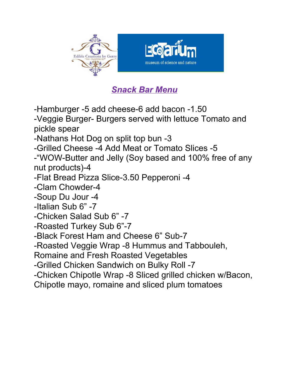

## *Snack Bar Menu*

-Hamburger -5 add cheese-6 add bacon -1.50

-Veggie Burger- Burgers served with lettuce Tomato and pickle spear

-Nathans Hot Dog on split top bun -3

-Grilled Cheese -4 Add Meat or Tomato Slices -5

-"WOW-Butter and Jelly (Soy based and 100% free of any nut products)-4

-Flat Bread Pizza Slice-3.50 Pepperoni -4

-Clam Chowder-4

-Soup Du Jour -4

-Italian Sub 6" -7

-Chicken Salad Sub 6" -7

-Roasted Turkey Sub 6"-7

-Black Forest Ham and Cheese 6" Sub-7

-Roasted Veggie Wrap -8 Hummus and Tabbouleh,

Romaine and Fresh Roasted Vegetables

-Grilled Chicken Sandwich on Bulky Roll -7

-Chicken Chipotle Wrap -8 Sliced grilled chicken w/Bacon,

Chipotle mayo, romaine and sliced plum tomatoes